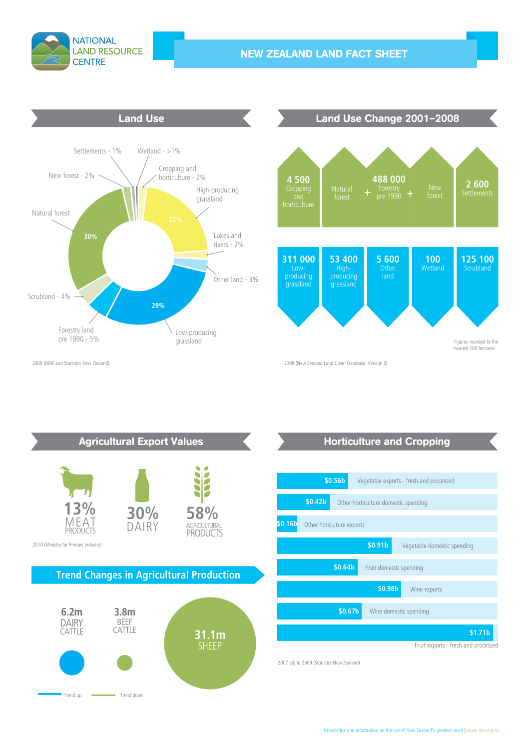

## **NEW ZEALAND LAND FACT SHEET**





2009 (MAF and Statistics New Zealand)



## **Horticulture and Cropping**

|         | \$0.56b                                                     |                                                | Vegetable exports - fresh and processed |  |                                     |                     |  |
|---------|-------------------------------------------------------------|------------------------------------------------|-----------------------------------------|--|-------------------------------------|---------------------|--|
|         | \$0.42 <sub>b</sub><br>Other horticulture domestic spending |                                                |                                         |  |                                     |                     |  |
| \$0.16b | Other horiculture exports                                   |                                                |                                         |  |                                     |                     |  |
|         |                                                             |                                                | \$0.91 <sub>b</sub>                     |  | Vegetable domestic spending         |                     |  |
|         |                                                             | \$0.64 <sub>b</sub><br>Fruit domestic spending |                                         |  |                                     |                     |  |
|         |                                                             |                                                | \$0.98b                                 |  | Wine exports                        |                     |  |
|         |                                                             | \$0.67b                                        | Wine domestic spending                  |  |                                     |                     |  |
|         |                                                             |                                                |                                         |  |                                     | \$1.71 <sub>b</sub> |  |
|         |                                                             |                                                |                                         |  | Fruit exports - fresh and processed |                     |  |

2007 adj to 2009 (Statistics New Zealand)